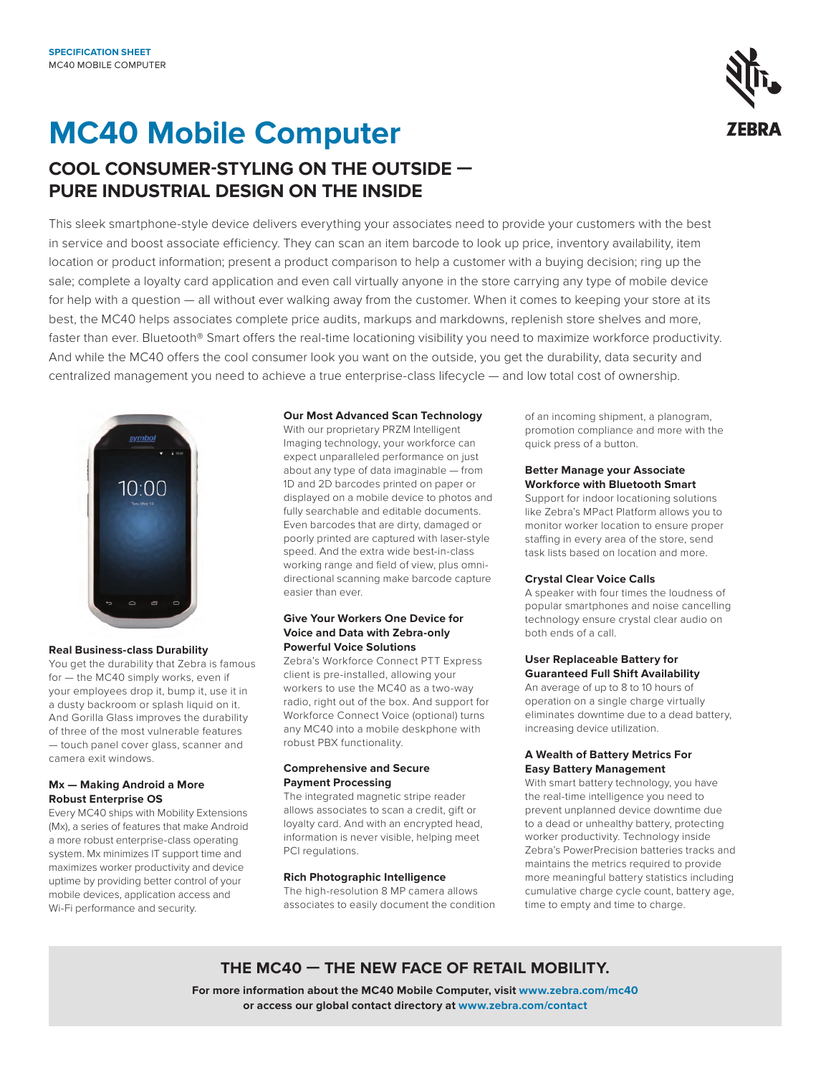# **MC40 Mobile Computer**



### **COOL CONSUMER-STYLING ON THE OUTSIDE — PURE INDUSTRIAL DESIGN ON THE INSIDE**

This sleek smartphone-style device delivers everything your associates need to provide your customers with the best in service and boost associate efficiency. They can scan an item barcode to look up price, inventory availability, item location or product information; present a product comparison to help a customer with a buying decision; ring up the sale; complete a loyalty card application and even call virtually anyone in the store carrying any type of mobile device for help with a question — all without ever walking away from the customer. When it comes to keeping your store at its best, the MC40 helps associates complete price audits, markups and markdowns, replenish store shelves and more, faster than ever. Bluetooth® Smart offers the real-time locationing visibility you need to maximize workforce productivity. And while the MC40 offers the cool consumer look you want on the outside, you get the durability, data security and centralized management you need to achieve a true enterprise-class lifecycle — and low total cost of ownership.



### **Real Business-class Durability**

You get the durability that Zebra is famous for — the MC40 simply works, even if your employees drop it, bump it, use it in a dusty backroom or splash liquid on it. And Gorilla Glass improves the durability of three of the most vulnerable features — touch panel cover glass, scanner and camera exit windows.

### **Mx — Making Android a More Robust Enterprise OS**

Every MC40 ships with Mobility Extensions (Mx), a series of features that make Android a more robust enterprise-class operating system. Mx minimizes IT support time and maximizes worker productivity and device uptime by providing better control of your mobile devices, application access and Wi-Fi performance and security.

### **Our Most Advanced Scan Technology**

With our proprietary PRZM Intelligent Imaging technology, your workforce can expect unparalleled performance on just about any type of data imaginable — from 1D and 2D barcodes printed on paper or displayed on a mobile device to photos and fully searchable and editable documents. Even barcodes that are dirty, damaged or poorly printed are captured with laser-style speed. And the extra wide best-in-class working range and field of view, plus omnidirectional scanning make barcode capture easier than ever.

### **Give Your Workers One Device for Voice and Data with Zebra-only Powerful Voice Solutions**

Zebra's Workforce Connect PTT Express client is pre-installed, allowing your workers to use the MC40 as a two-way radio, right out of the box. And support for Workforce Connect Voice (optional) turns any MC40 into a mobile deskphone with robust PBX functionality.

### **Comprehensive and Secure Payment Processing**

The integrated magnetic stripe reader allows associates to scan a credit, gift or loyalty card. And with an encrypted head, information is never visible, helping meet PCI regulations.

### **Rich Photographic Intelligence**

The high-resolution 8 MP camera allows associates to easily document the condition of an incoming shipment, a planogram, promotion compliance and more with the quick press of a button.

### **Better Manage your Associate Workforce with Bluetooth Smart**

Support for indoor locationing solutions like Zebra's MPact Platform allows you to monitor worker location to ensure proper staffing in every area of the store, send task lists based on location and more.

### **Crystal Clear Voice Calls**

A speaker with four times the loudness of popular smartphones and noise cancelling technology ensure crystal clear audio on both ends of a call.

### **User Replaceable Battery for Guaranteed Full Shift Availability**

An average of up to 8 to 10 hours of operation on a single charge virtually eliminates downtime due to a dead battery, increasing device utilization.

### **A Wealth of Battery Metrics For Easy Battery Management**

With smart battery technology, you have the real-time intelligence you need to prevent unplanned device downtime due to a dead or unhealthy battery, protecting worker productivity. Technology inside Zebra's PowerPrecision batteries tracks and maintains the metrics required to provide more meaningful battery statistics including cumulative charge cycle count, battery age, time to empty and time to charge.

### **THE MC40 — THE NEW FACE OF RETAIL MOBILITY.**

**For more information about the MC40 Mobile Computer, visit [www.zebra.com/](http://www.zebra.com/mc40)mc40 or access our global contact directory at [www.zebra.com/contact](http://www.zebra.com/contact)**